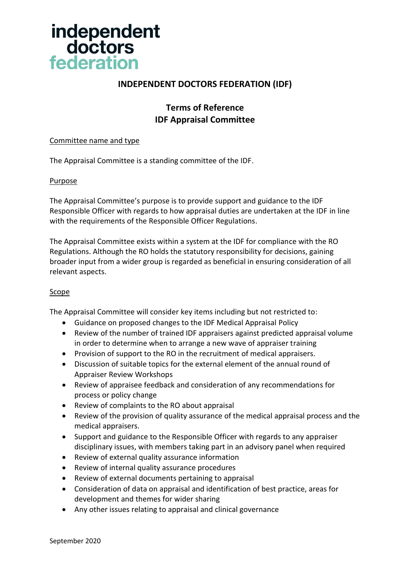

## **INDEPENDENT DOCTORS FEDERATION (IDF)**

## **Terms of Reference IDF Appraisal Committee**

#### Committee name and type

The Appraisal Committee is a standing committee of the IDF.

### Purpose

The Appraisal Committee's purpose is to provide support and guidance to the IDF Responsible Officer with regards to how appraisal duties are undertaken at the IDF in line with the requirements of the Responsible Officer Regulations.

The Appraisal Committee exists within a system at the IDF for compliance with the RO Regulations. Although the RO holds the statutory responsibility for decisions, gaining broader input from a wider group is regarded as beneficial in ensuring consideration of all relevant aspects.

### Scope

The Appraisal Committee will consider key items including but not restricted to:

- Guidance on proposed changes to the IDF Medical Appraisal Policy
- Review of the number of trained IDF appraisers against predicted appraisal volume in order to determine when to arrange a new wave of appraiser training
- Provision of support to the RO in the recruitment of medical appraisers.
- Discussion of suitable topics for the external element of the annual round of Appraiser Review Workshops
- Review of appraisee feedback and consideration of any recommendations for process or policy change
- Review of complaints to the RO about appraisal
- Review of the provision of quality assurance of the medical appraisal process and the medical appraisers.
- Support and guidance to the Responsible Officer with regards to any appraiser disciplinary issues, with members taking part in an advisory panel when required
- Review of external quality assurance information
- Review of internal quality assurance procedures
- Review of external documents pertaining to appraisal
- Consideration of data on appraisal and identification of best practice, areas for development and themes for wider sharing
- Any other issues relating to appraisal and clinical governance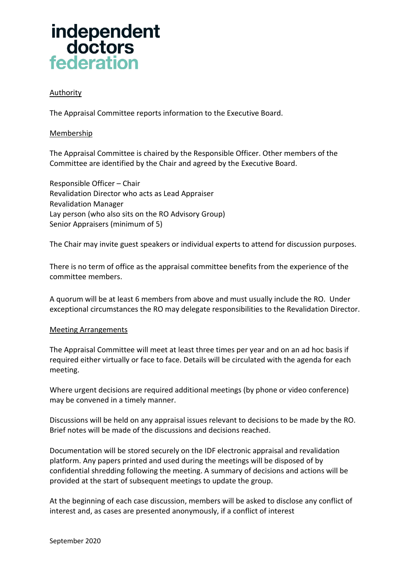# independent doctors federation

### **Authority**

The Appraisal Committee reports information to the Executive Board.

### Membership

The Appraisal Committee is chaired by the Responsible Officer. Other members of the Committee are identified by the Chair and agreed by the Executive Board.

Responsible Officer – Chair Revalidation Director who acts as Lead Appraiser Revalidation Manager Lay person (who also sits on the RO Advisory Group) Senior Appraisers (minimum of 5)

The Chair may invite guest speakers or individual experts to attend for discussion purposes.

There is no term of office as the appraisal committee benefits from the experience of the committee members.

A quorum will be at least 6 members from above and must usually include the RO. Under exceptional circumstances the RO may delegate responsibilities to the Revalidation Director.

### Meeting Arrangements

The Appraisal Committee will meet at least three times per year and on an ad hoc basis if required either virtually or face to face. Details will be circulated with the agenda for each meeting.

Where urgent decisions are required additional meetings (by phone or video conference) may be convened in a timely manner.

Discussions will be held on any appraisal issues relevant to decisions to be made by the RO. Brief notes will be made of the discussions and decisions reached.

Documentation will be stored securely on the IDF electronic appraisal and revalidation platform. Any papers printed and used during the meetings will be disposed of by confidential shredding following the meeting. A summary of decisions and actions will be provided at the start of subsequent meetings to update the group.

At the beginning of each case discussion, members will be asked to disclose any conflict of interest and, as cases are presented anonymously, if a conflict of interest